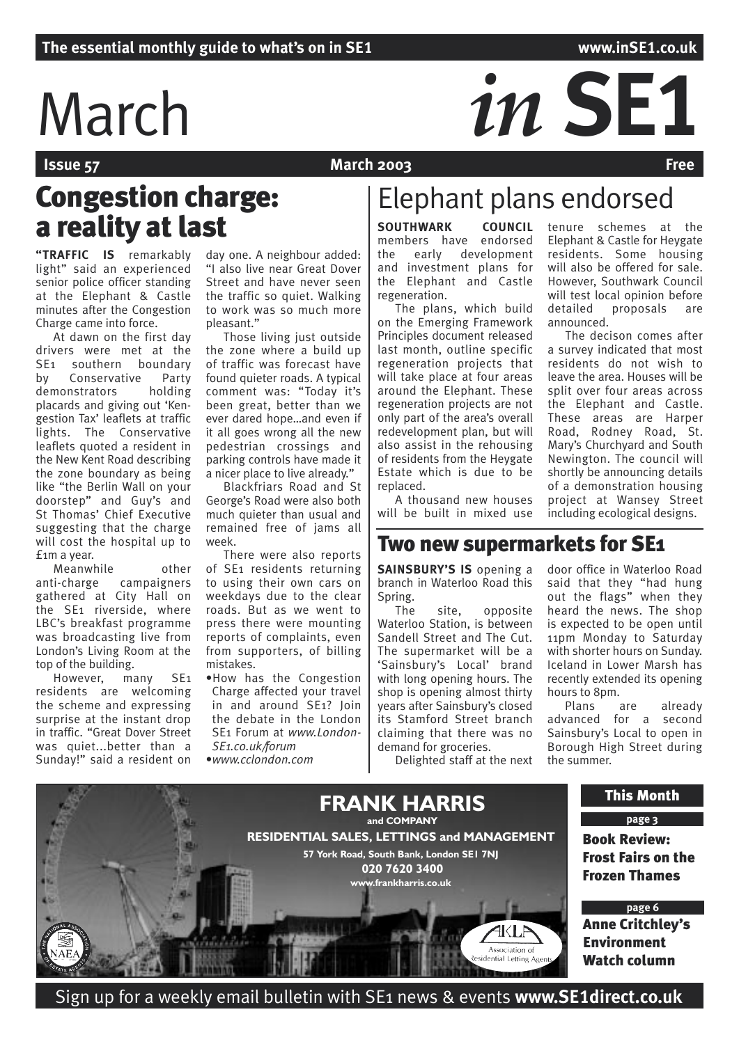# March *in* SE1

**March 2003** 

## Congestion charge: a reality at last **SOUTHWARK** COUNCIL

**"TRAFFIC IS** remarkably light" said an experienced senior police officer standing at the Elephant & Castle minutes after the Congestion Charge came into force.

At dawn on the first day drivers were met at the SE1 southern boundary by Conservative Party<br>demonstrators holding demonstrators placards and giving out 'Kengestion Tax' leaflets at traffic lights. The Conservative leaflets quoted a resident in the New Kent Road describing the zone boundary as being like "the Berlin Wall on your doorstep" and Guy's and St Thomas' Chief Executive suggesting that the charge will cost the hospital up to £1m a year.

Meanwhile other anti-charge campaigners gathered at City Hall on the SE1 riverside, where LBC's breakfast programme was broadcasting live from London's Living Room at the top of the building.

However, many SE1 residents are welcoming the scheme and expressing surprise at the instant drop in traffic. "Great Dover Street was quiet...better than a Sunday!" said a resident on day one. A neighbour added: "I also live near Great Dover Street and have never seen the traffic so quiet. Walking to work was so much more pleasant."

Those living just outside the zone where a build up of traffic was forecast have found quieter roads. A typical comment was: "Today it's been great, better than we ever dared hope…and even if it all goes wrong all the new pedestrian crossings and parking controls have made it a nicer place to live already."

Blackfriars Road and St George's Road were also both much quieter than usual and remained free of jams all week.

There were also reports of SE1 residents returning to using their own cars on weekdays due to the clear roads. But as we went to press there were mounting reports of complaints, even from supporters, of billing mistakes.

•How has the Congestion Charge affected your travel in and around SE1? Join the debate in the London SE1 Forum at *www.London-SE1.co.uk/forum*

•*www.cclondon.com*

## Elephant plans endorsed

members have endorsed the early development and investment plans for the Elephant and Castle regeneration.

The plans, which build on the Emerging Framework Principles document released last month, outline specific regeneration projects that will take place at four areas around the Elephant. These regeneration projects are not only part of the area's overall redevelopment plan, but will also assist in the rehousing of residents from the Heygate Estate which is due to be replaced.

A thousand new houses will be built in mixed use tenure schemes at the Elephant & Castle for Heygate residents. Some housing will also be offered for sale. However, Southwark Council will test local opinion before detailed proposals are announced.

The decison comes after a survey indicated that most residents do not wish to leave the area. Houses will be split over four areas across the Elephant and Castle. These areas are Harper Road, Rodney Road, St. Mary's Churchyard and South Newington. The council will shortly be announcing details of a demonstration housing project at Wansey Street including ecological designs.

## Two new supermarkets for SE1

**SAINSBURY'S IS** opening a branch in Waterloo Road this Spring.

The site, opposite Waterloo Station, is between Sandell Street and The Cut. The supermarket will be a 'Sainsbury's Local' brand with long opening hours. The shop is opening almost thirty years after Sainsbury's closed its Stamford Street branch claiming that there was no demand for groceries.

Delighted staff at the next

door office in Waterloo Road said that they "had hung out the flags" when they heard the news. The shop is expected to be open until 11pm Monday to Saturday with shorter hours on Sunday. Iceland in Lower Marsh has recently extended its opening hours to 8pm.

Plans are already advanced for a second Sainsbury's Local to open in Borough High Street during the summer.



Sign up for a weekly email bulletin with SE1 news & events **www.SE1direct.co.uk**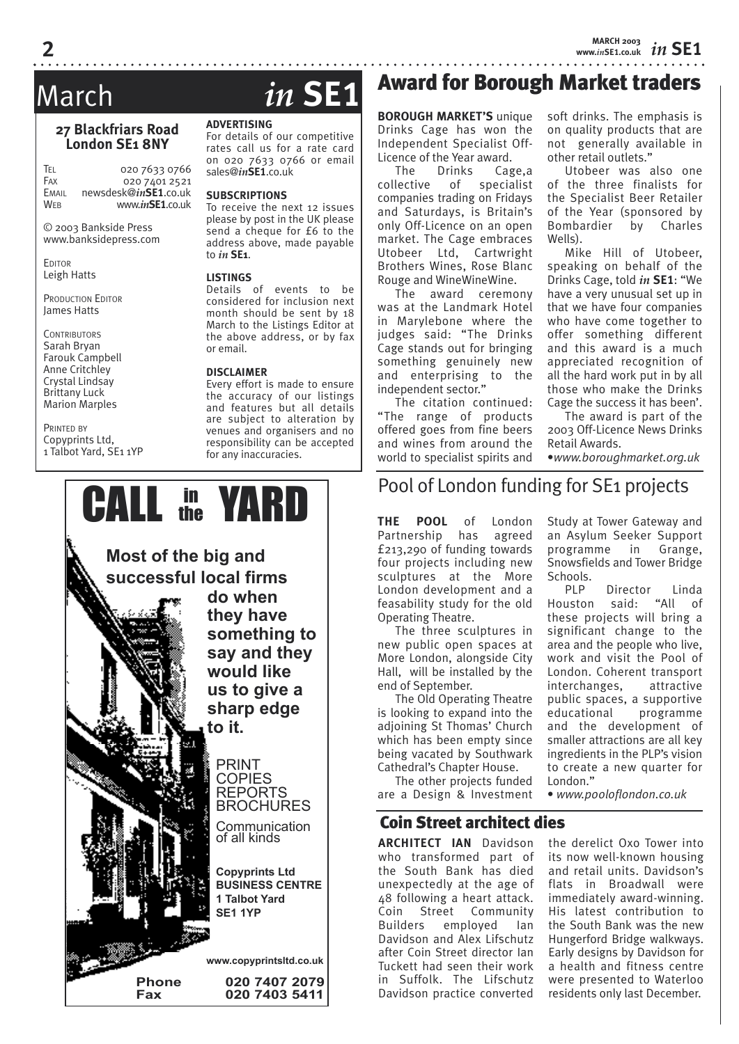*in* **SE1 MARCH 2003 www.***in***SE1.co.uk**

#### **27 Blackfriars Road London SE1 8NY**

TEL 020 7633 0766<br>Fax 020 7401 2521  $020\,7401\,2521$ EMAIL newsdesk@*in***SE1**.co.uk WEB www.*in***SE1**.co.uk

© 2003 Bankside Press www.banksidepress.com

**EDITOR** Leigh Hatts

PRODUCTION EDITOR James Hatts

**CONTRIBUTORS** Sarah Bryan Farouk Campbell Anne Critchley Crystal Lindsay Brittany Luck Marion Marples

PRINTED BY Copyprints Ltd, 1 Talbot Yard, SE1 1YP

## March *in* **SE1**

#### **ADVERTISING**

For details of our competitive rates call us for a rate card on 020 7633 0766 or email sales@*in***SE1**.co.uk

#### **SUBSCRIPTIONS**

To receive the next 12 issues please by post in the UK please send a cheque for £6 to the address above, made payable to *in* **SE1**.

#### **LISTINGS**

Details of events to be considered for inclusion next month should be sent by 18 March to the Listings Editor at the above address, or by fax or email.

#### **DISCLAIMER**

Every effort is made to ensure the accuracy of our listings and features but all details are subject to alteration by venues and organisers and no responsibility can be accepted for any inaccuracies.



## Award for Borough Market traders

**BOROUGH MARKET'S** unique Drinks Cage has won the Independent Specialist Off-Licence of the Year award.<br>The Drinks Cag

The Drinks Cage,a collective of specialist companies trading on Fridays and Saturdays, is Britain's only Off-Licence on an open market. The Cage embraces Utobeer Ltd, Cartwright Brothers Wines, Rose Blanc Rouge and WineWineWine.

The award ceremony was at the Landmark Hotel in Marylebone where the judges said: "The Drinks Cage stands out for bringing something genuinely new and enterprising to the independent sector."

The citation continued: "The range of products offered goes from fine beers and wines from around the world to specialist spirits and soft drinks. The emphasis is on quality products that are not generally available in other retail outlets."

Utobeer was also one of the three finalists for the Specialist Beer Retailer of the Year (sponsored by Bombardier by Charles Wells).

Mike Hill of Utobeer, speaking on behalf of the Drinks Cage, told *in* **SE1**: "We have a very unusual set up in that we have four companies who have come together to offer something different and this award is a much appreciated recognition of all the hard work put in by all those who make the Drinks Cage the success it has been'.

The award is part of the 2003 Off-Licence News Drinks Retail Awards.

•*www.boroughmarket.org.uk*

## Pool of London funding for SE1 projects

**THE POOL** of London Partnership has agreed £213,290 of funding towards four projects including new sculptures at the More London development and a feasability study for the old Operating Theatre.

The three sculptures in new public open spaces at More London, alongside City Hall, will be installed by the end of September.

The Old Operating Theatre is looking to expand into the adjoining St Thomas' Church which has been empty since being vacated by Southwark Cathedral's Chapter House.

The other projects funded are a Design & Investment

### Coin Street architect dies

**ARCHITECT IAN** Davidson who transformed part of the South Bank has died unexpectedly at the age of 48 following a heart attack. Coin Street Community Builders employed Ian Davidson and Alex Lifschutz after Coin Street director Ian Tuckett had seen their work in Suffolk. The Lifschutz Davidson practice converted

Study at Tower Gateway and an Asylum Seeker Support programme in Grange, Snowsfields and Tower Bridge

Schools.<br>PIP Director Linda Houston said: "All of these projects will bring a significant change to the area and the people who live, work and visit the Pool of London. Coherent transport interchanges, attractive public spaces, a supportive educational programme and the development of smaller attractions are all key ingredients in the PLP's vision to create a new quarter for London."

• *www.pooloflondon.co.uk*

the derelict Oxo Tower into its now well-known housing and retail units. Davidson's flats in Broadwall were immediately award-winning. His latest contribution to the South Bank was the new Hungerford Bridge walkways. Early designs by Davidson for a health and fitness centre were presented to Waterloo residents only last December.

**2**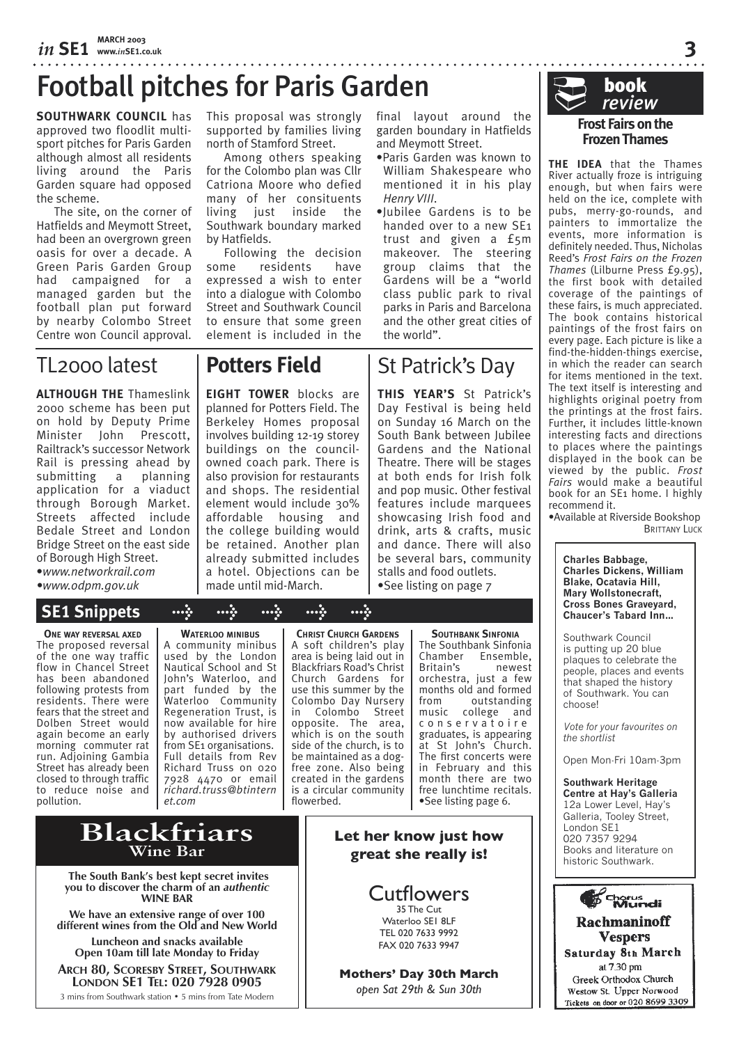## Football pitches for Paris Garden

**SOUTHWARK COUNCIL** has approved two floodlit multisport pitches for Paris Garden although almost all residents living around the Paris Garden square had opposed the scheme.

The site, on the corner of Hatfields and Meymott Street, had been an overgrown green oasis for over a decade. A Green Paris Garden Group had campaigned for a managed garden but the football plan put forward by nearby Colombo Street Centre won Council approval.

This proposal was strongly supported by families living north of Stamford Street.

Among others speaking for the Colombo plan was Cllr Catriona Moore who defied many of her consituents living just inside the Southwark boundary marked by Hatfields.

Following the decision some residents have expressed a wish to enter into a dialogue with Colombo Street and Southwark Council to ensure that some green element is included in the

TL2000 latest

**ALTHOUGH THE** Thameslink 2000 scheme has been put on hold by Deputy Prime Minister John Prescott, Railtrack's successor Network Rail is pressing ahead by submitting a planning application for a viaduct through Borough Market. Streets affected include Bedale Street and London Bridge Street on the east side of Borough High Street.

•*www.networkrail.com •www.odpm.gov.uk*

## **SE1 Snippets > > > > >**

**ONE WAY REVERSAL AXED** The proposed reversal of the one way traffic flow in Chancel Street has been abandoned following protests from residents. There were fears that the street and Dolben Street would again become an early morning commuter rat run. Adjoining Gambia Street has already been closed to through traffic to reduce noise and pollution.

**WATERLOO MINIBUS** A community minibus used by the London Nautical School and St John's Waterloo, and part funded by the Waterloo Community Regeneration Trust, is now available for hire by authorised drivers from SE1 organisations. Full details from Rev Richard Truss on 020 7928 4470 or email *richard.truss@btintern et.com*

**CHRIST CHURCH GARDENS** A soft children's play area is being laid out in Blackfriars Road's Christ Church Gardens for use this summer by the Colombo Day Nursery in Colombo Street opposite. The area, which is on the south side of the church, is to be maintained as a dogfree zone. Also being created in the gardens is a circular community flowerbed.

The Southbank Sinfonia<br>Chamber Fnsemble. Ensemble,<br>newest Britain's orchestra, just a few months old and formed from outstanding college and c o n s e r v a t o i r e graduates, is appearing at St John's Church. The first concerts were in February and this month there are two free lunchtime recitals. •See listing page 6.

**Let her know just how great she really is!**

> Cutflowers 35 The Cut Waterloo SE1 8LF TEL 020 7633 9992 FAX 020 7633 9947

**Mothers' Day 30th March** *open Sat 29th & Sun 30th*

**SOUTHBANK SINFONIA** 

final layout around the garden boundary in Hatfields

•Paris Garden was known to William Shakespeare who mentioned it in his play

•Jubilee Gardens is to be handed over to a new SE1 trust and given a £5m makeover. The steering group claims that the Gardens will be a "world class public park to rival parks in Paris and Barcelona and the other great cities of

St Patrick's Day

**THIS YEAR'S** St Patrick's Day Festival is being held on Sunday 16 March on the South Bank between Jubilee Gardens and the National Theatre. There will be stages at both ends for Irish folk and pop music. Other festival features include marquees showcasing Irish food and drink, arts & crafts, music and dance. There will also be several bars, community stalls and food outlets. •See listing on page 7

and Meymott Street.

*Henry VIII*.

the world".



**3**

#### **Frost Fairs on the Frozen Thames**

**THE IDEA** that the Thames River actually froze is intriguing enough, but when fairs were held on the ice, complete with pubs, merry-go-rounds, and painters to immortalize the events, more information is definitely needed. Thus, Nicholas Reed's *Frost Fairs on the Frozen Thames* (Lilburne Press £9.95), the first book with detailed coverage of the paintings of these fairs, is much appreciated. The book contains historical paintings of the frost fairs on every page. Each picture is like a find-the-hidden-things exercise, in which the reader can search for items mentioned in the text. The text itself is interesting and highlights original poetry from the printings at the frost fairs. Further, it includes little-known interesting facts and directions to places where the paintings displayed in the book can be viewed by the public. *Frost Fairs* would make a beautiful book for an SE1 home. I highly recommend it.

•Available at Riverside Bookshop **BRITTANY LUCK** 

**Charles Babbage, Charles Dickens, William Blake, Ocatavia Hill, Mary Wollstonecraft, Cross Bones Graveyard, Chaucer's Tabard Inn…**

Southwark Council is putting up 20 blue plaques to celebrate the people, places and events that shaped the history of Southwark. You can choose!

*Vote for your favourites on the shortlist*

Open Mon-Fri 10am-3pm

**Southwark Heritage Centre at Hay's Galleria** 12a Lower Level, Hay's Galleria, Tooley Street, London SE1 020 7357 9294 Books and literature on historic Southwark.



#### **Rachmaninoff Vespers** Saturday 8th March at 7.30 pm Greek Orthodox Church Westow St. Upper Norwood Tickets on door or 020 8699 3309

**Blackfriars Wine Bar**

 **The South Bank's best kept secret invites you to discover the charm of an** *authentic* **WINE BAR**

**We have an extensive range of over 100 different wines from the Old and New World**

**Luncheon and snacks available Open 10am till late Monday to Friday**

**ARCH 80, SCORESBY STREET, SOUTHWARK LONDON SE1 TEL: 020 7928 0905**

3 mins from Southwark station • 5 mins from Tate Modern

## **Potters Field**

**EIGHT TOWER** blocks are planned for Potters Field. The Berkeley Homes proposal involves building 12-19 storey buildings on the councilowned coach park. There is also provision for restaurants and shops. The residential element would include 30% affordable housing and the college building would be retained. Another plan already submitted includes a hotel. Objections can be made until mid-March.

book ® *review*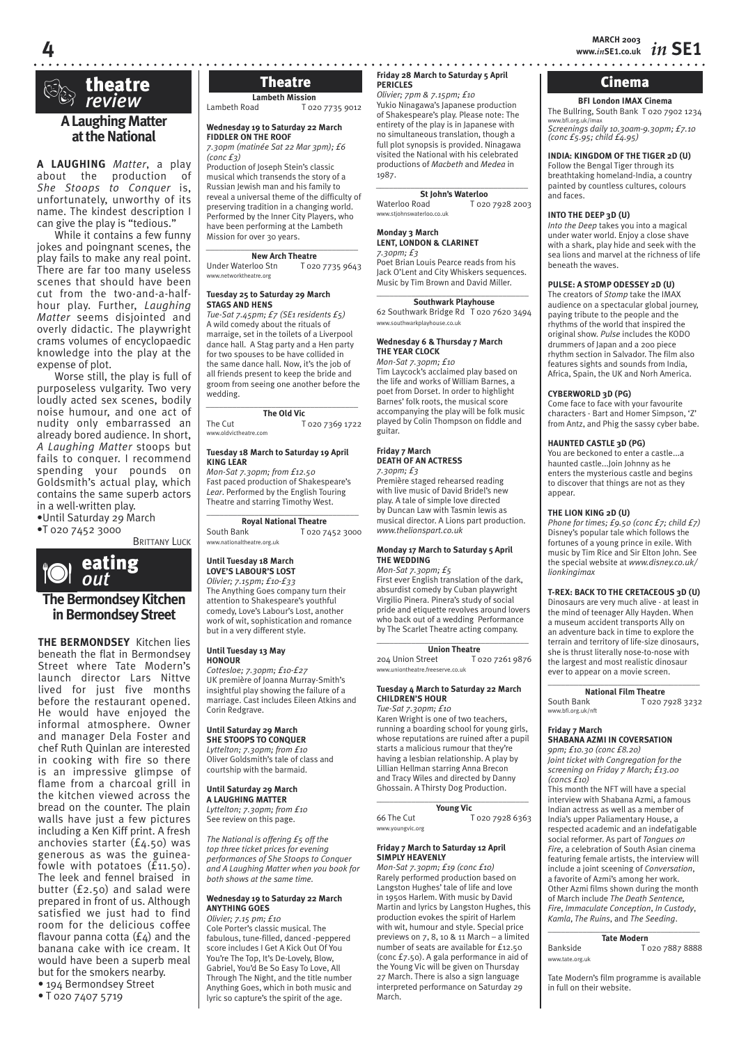## **theatre**<br>*review*

**4**

#### **A Laughing Matter at the National**

**A LAUGHING** *Matter*, a play about the production of *She Stoops to Conquer* is, unfortunately, unworthy of its name. The kindest description I can give the play is "tedious."

While it contains a few funny jokes and poingnant scenes, the play fails to make any real point. There are far too many useless scenes that should have been cut from the two-and-a-halfhour play. Further, *Laughing Matter* seems disjointed and overly didactic. The playwright crams volumes of encyclopaedic knowledge into the play at the expense of plot.

Worse still, the play is full of purposeless vulgarity. Two very loudly acted sex scenes, bodily noise humour, and one act of nudity only embarrassed an already bored audience. In short, *A Laughing Matter* stoops but fails to conquer. I recommend spending your pounds on Goldsmith's actual play, which contains the same superb actors in a well-written play.

•Until Saturday 29 March

•T 020 7452 3000 **BRITTANY LUCK** 



**THE BERMONDSEY** Kitchen lies beneath the flat in Bermondsey Street where Tate Modern's launch director Lars Nittve lived for just five months before the restaurant opened. He would have enjoyed the informal atmosphere. Owner and manager Dela Foster and chef Ruth Quinlan are interested in cooking with fire so there is an impressive glimpse of flame from a charcoal grill in the kitchen viewed across the bread on the counter. The plain walls have just a few pictures including a Ken Kiff print. A fresh anchovies starter (£4.50) was generous as was the guineafowle with potatoes  $(f_{11.50})$ . The leek and fennel braised in butter (£2.50) and salad were prepared in front of us. Although satisfied we just had to find room for the delicious coffee flavour panna cotta  $(f_4)$  and the banana cake with ice cream. It would have been a superb meal but for the smokers nearby.

### • 194 Bermondsey Street

• T 020 7407 5719

**Lambeth Mission**<br>Lambeth Road To<sub>2</sub> T 020 7735 9012

#### **Wednesday 19 to Saturday 22 March FIDDLER ON THE ROOF**

*7.30pm (matinée Sat 22 Mar 3pm); £6 (conc £3)*

Production of Joseph Stein's classic musical which transends the story of a Russian Jewish man and his family to reveal a universal theme of the difficulty of preserving tradition in a changing world. Performed by the Inner City Players, who have been performing at the Lambeth Mission for over 30 years.

#### **New Arch Theatre**

Under Waterloo Stn T 020 7735 9643 www.networktheatre.org

*\_\_\_\_\_\_\_\_\_\_\_\_\_\_\_\_\_\_\_\_\_\_\_\_\_\_\_\_\_\_\_\_\_\_\_* 

#### **Tuesday 25 to Saturday 29 March STAGS AND HENS**

*Tue-Sat 7.45pm; £7 (SE1 residents £5)* A wild comedy about the rituals of marraige, set in the toilets of a Liverpool dance hall. A Stag party and a Hen party for two spouses to be have collided in the same dance hall. Now, it's the job of all friends present to keep the bride and groom from seeing one another before the wedding.

*\_\_\_\_\_\_\_\_\_\_\_\_\_\_\_\_\_\_\_\_\_\_\_\_\_\_\_\_\_\_\_\_\_\_\_*  **The Old Vic**

The Cut T 020 7369 1722 www.oldvictheatre.com

#### **Tuesday 18 March to Saturday 19 April KING LEAR**

*Mon-Sat 7.30pm; from £12.50* Fast paced production of Shakespeare's *Lear*. Performed by the English Touring Theatre and starring Timothy West.

\_\_\_\_\_\_\_\_\_\_\_\_\_\_\_\_\_\_\_\_\_\_\_\_\_\_\_\_\_\_\_\_\_\_\_ **Royal National Theatre**<br> **Royal National Theatre**<br> **Royal National Theatre** T 020 7452 3000 www.nationaltheatre.org.uk

#### **Until Tuesday 18 March**

**LOVE'S LABOUR'S LOST** *Olivier; 7.15pm; £10-£33* The Anything Goes company turn their attention to Shakespeare's youthful comedy, Love's Labour's Lost, another work of wit, sophistication and romance but in a very different style.

#### **Until Tuesday 13 May HONOUR**

*Cottesloe; 7.30pm; £10-£27* UK première of Joanna Murray-Smith's insightful play showing the failure of a marriage. Cast includes Eileen Atkins and Corin Redgrave.

#### **Until Saturday 29 March**

**SHE STOOPS TO CONQUER** *Lyttelton; 7.30pm; from £10* Oliver Goldsmith's tale of class and courtship with the barmaid.

#### **Until Saturday 29 March**

**A LAUGHING MATTER** *Lyttelton; 7.30pm; from £10* See review on this page.

*The National is offering £5 off the top three ticket prices for evening performances of She Stoops to Conquer and A Laughing Matter when you book for both shows at the same time.*

#### **Wednesday 19 to Saturday 22 March ANYTHING GOES**

*Olivier; 7.15 pm; £10* Cole Porter's classic musical. The fabulous, tune-filled, danced -peppered score includes I Get A Kick Out Of You You're The Top, It's De-Lovely, Blow, Gabriel, You'd Be So Easy To Love, All Through The Night, and the title number Anything Goes, which in both music and lyric so capture's the spirit of the age.

**Theatre Example 3 Friday 28 March to Saturday 5 April Fig. 2. Cinema PERICLES**

#### *Olivier; 7pm & 7.15pm; £10*

Yukio Ninagawa's Japanese production of Shakespeare's play. Please note: The entirety of the play is in Japanese with no simultaneous translation, though a full plot synopsis is provided. Ninagawa visited the National with his celebrated productions of *Macbeth* and *Medea* in 1987.

*\_\_\_\_\_\_\_\_\_\_\_\_\_\_\_\_\_\_\_\_\_\_\_\_\_\_\_\_\_\_\_\_\_\_\_*  **St John's Waterloo**<br>
Waterloo Road<br>
T o2c T 020 7928 2003 www.stjohnswaterloo.co.uk

#### **Monday 3 March**

**LENT, LONDON & CLARINET** *7.30pm; £3*

Poet Brian Louis Pearce reads from his Jack O'Lent and City Whiskers sequences. Music by Tim Brown and David Miller.  $\overline{\phantom{a}}$  , and the set of the set of the set of the set of the set of the set of the set of the set of the set of the set of the set of the set of the set of the set of the set of the set of the set of the set of the s

#### **Southwark Playhouse**

62 Southwark Bridge Rd T 020 7620 3494 www.southwarkplayhouse.co.uk

#### **Wednesday 6 & Thursday 7 March THE YEAR CLOCK**

*Mon-Sat 7.30pm; £10* Tim Laycock's acclaimed play based on

the life and works of William Barnes, a poet from Dorset. In order to highlight Barnes' folk roots, the musical score accompanying the play will be folk music played by Colin Thompson on fiddle and guitar.

#### **Friday 7 March DEATH OF AN ACTRESS**

*7.30pm; £3* Première staged rehearsed reading with live music of David Bridel's new play. A tale of simple love directed by Duncan Law with Tasmin lewis as musical director. A Lions part production. *www.thelionspart.co.uk*

#### **Monday 17 March to Saturday 5 April THE WEDDING**

*Mon-Sat 7.30pm; £5*

First ever English translation of the dark, absurdist comedy by Cuban playwright Virgilio Pinera. Pinera's study of social pride and etiquette revolves around lovers who back out of a wedding Performance by The Scarlet Theatre acting company.

### $\overline{\phantom{a}}$  , and the set of the set of the set of the set of the set of the set of the set of the set of the set of the set of the set of the set of the set of the set of the set of the set of the set of the set of the s

**Union Theatre**<br>reet T020.7261.0876 204 Union Street www.uniontheatre.freeserve.co.uk

#### **Tuesday 4 March to Saturday 22 March CHILDREN'S HOUR** *Tue-Sat 7.30pm; £10*

Karen Wright is one of two teachers, running a boarding school for young girls, whose reputations are ruined after a pupil starts a malicious rumour that they're having a lesbian relationship. A play by Lillian Hellman starring Anna Brecon and Tracy Wiles and directed by Danny Ghossain. A Thirsty Dog Production.  $\_$ 

**Young Vic** 66 The Cut T 020 7928 6363 www.youngvic.org

#### **Friday 7 March to Saturday 12 April SIMPLY HEAVENLY**

*Mon-Sat 7.30pm; £19 (conc £10)* Rarely performed production based on Langston Hughes' tale of life and love in 1950s Harlem. With music by David Martin and lyrics by Langston Hughes, this production evokes the spirit of Harlem with wit, humour and style. Special price previews on 7, 8, 10 & 11 March – a limited number of seats are available for £12.50 (conc £7.50). A gala performance in aid of the Young Vic will be given on Thursday 27 March. There is also a sign language interpreted performance on Saturday 29 March.

www.bfi.org.uk/imax *Screenings daily 10.30am-9.30pm; £7.10 (conc £5.95; child £4.95)* **INDIA: KINGDOM OF THE TIGER 2D (U)** Follow the Bengal Tiger through its breathtaking homeland-India, a country

**BFI London IMAX Cinema** The Bullring, South Bank T 020 7902 1234

painted by countless cultures, colours and faces.

#### **INTO THE DEEP 3D (U)**

*Into the Deep* takes you into a magical under water world. Enjoy a close shave with a shark, play hide and seek with the sea lions and marvel at the richness of life beneath the waves.

#### **PULSE: A STOMP ODESSEY 2D (U)**

The creators of *Stomp* take the IMAX audience on a spectacular global journey, paying tribute to the people and the rhythms of the world that inspired the original show. *Pulse* includes the KODO drummers of Japan and a 200 piece rhythm section in Salvador. The film also features sights and sounds from India, Africa, Spain, the UK and Norh America.

#### **CYBERWORLD 3D (PG)**

Come face to face with your favourite characters - Bart and Homer Simpson, 'Z' from Antz, and Phig the sassy cyber babe.

#### **HAUNTED CASTLE 3D (PG)**

You are beckoned to enter a castle...a haunted castle...Join Johnny as he enters the mysterious castle and begins to discover that things are not as they appear.

#### **THE LION KING 2D (U)**

*Phone for times; £9.50 (conc £7; child £7)* Disney's popular tale which follows the fortunes of a young prince in exile. With music by Tim Rice and Sir Elton John. See the special website at *www.disney.co.uk/ lionkingimax*

#### **T-REX: BACK TO THE CRETACEOUS 3D (U)**

Dinosaurs are very much alive - at least in the mind of teenager Ally Hayden. When a museum accident transports Ally on an adventure back in time to explore the terrain and territory of life-size dinosaurs, she is thrust literally nose-to-nose with the largest and most realistic dinosaur ever to appear on a movie screen.

#### $\_$ **National Film Theatre**<br>Fouth Bank **T** 0207

T 020 7928 3232 www.bfi.org.uk/nft

#### **Friday 7 March SHABANA AZMI IN COVERSATION**

*9pm; £10.30 (conc £8.20) Joint ticket with Congregation for the screening on Friday 7 March; £13.00 (concs £10)* This month the NFT will have a special interview with Shabana Azmi, a famous

Indian actress as well as a member of India's upper Paliamentary House, a respected academic and an indefatigable social reformer. As part of *Tongues on Fire*, a celebration of South Asian cinema featuring female artists, the interview will include a joint sceening of *Conversation*, a favorite of Azmi's among her work. Other Azmi films shown during the month of March include *The Death Sentence, Fire*, *Immaculate Conception*, *In Custody*, *Kamla*, *The Ruins*, and *The Seeding*.

 $\_$ **Tate Modern** Bankside T 020 7887 8888 www.tate.org.uk

Tate Modern's film programme is available in full on their website.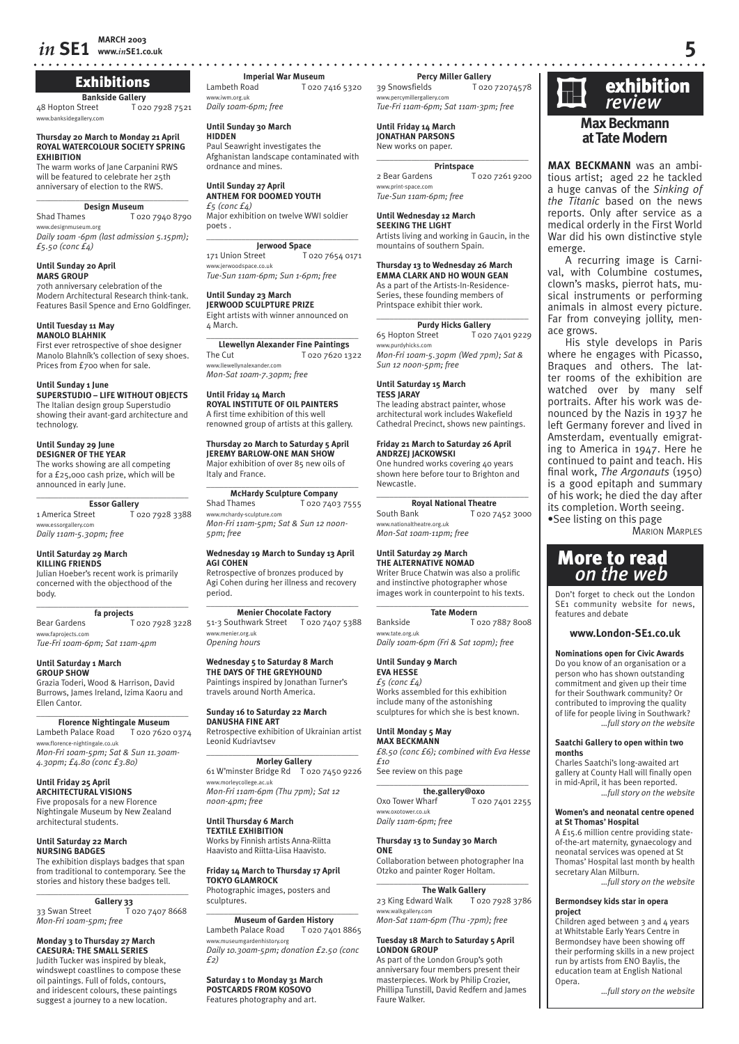## **Exhibitions**

**Bankside Gallery**<br>48 Hopton Street To<sub>2</sub> T 020 7928 7521 www.banksidegallery.com

**Thursday 20 March to Monday 21 April ROYAL WATERCOLOUR SOCIETY SPRING EXHIBITION**

The warm works of Jane Carpanini RWS will be featured to celebrate her 25th anniversary of election to the RWS. \_\_\_\_\_\_\_\_\_\_\_\_\_\_\_\_\_\_\_\_\_\_\_\_\_\_\_\_\_\_\_\_\_\_\_

## **Design Museum**<br>To<sub>2</sub> T

T 020 7940 8790 www.designmuseum.org *Daily 10am -6pm (last admission 5.15pm);* 

#### **Until Sunday 20 April MARS GROUP**

*£5.50 (conc £4)*

70th anniversary celebration of the Modern Architectural Research think-tank. Features Basil Spence and Erno Goldfinger.

#### **Until Tuesday 11 May MANOLO BLAHNIK**

First ever retrospective of shoe designer Manolo Blahník's collection of sexy shoes. Prices from £700 when for sale.

#### **Until Sunday 1 June**

**SUPERSTUDIO – LIFE WITHOUT OBJECTS** The Italian design group Superstudio showing their avant-gard architecture and technology.

#### **Until Sunday 29 June**

**DESIGNER OF THE YEAR** The works showing are all competing for a £25,000 cash prize, which will be announced in early lune.

 $\overline{\phantom{a}}$  , and the set of the set of the set of the set of the set of the set of the set of the set of the set of the set of the set of the set of the set of the set of the set of the set of the set of the set of the s **Essor Gallery**<br>1 America Street To

T 020 7928 3388 www.essorgallery.com *Daily 11am-5.30pm; free*

#### **Until Saturday 29 March KILLING FRIENDS**

Julian Hoeber's recent work is primarily concerned with the objecthood of the body.

#### \_\_\_\_\_\_\_\_\_\_\_\_\_\_\_\_\_\_\_\_\_\_\_\_\_\_\_\_\_\_\_\_\_\_\_ **fa projects**

Bear Gardens T 020 7928 3228 www.faprojects.com *Tue-Fri 10am-6pm; Sat 11am-4pm*

#### **Until Saturday 1 March GROUP SHOW**

Grazia Toderi, Wood & Harrison, David Burrows, James Ireland, Izima Kaoru and Ellen Cantor.

\_\_\_\_\_\_\_\_\_\_\_\_\_\_\_\_\_\_\_\_\_\_\_\_\_\_\_\_\_\_\_\_\_\_\_ **Florence Nightingale Museum** Lambeth Palace Road T 020 7620 0374 www.florence-nightingale.co.uk *Mon-Fri 10am-5pm; Sat & Sun 11.30am-*

#### **Until Friday 25 April ARCHITECTURAL VISIONS** Five proposals for a new Florence Nightingale Museum by New Zealand

*4.30pm; £4.80 (conc £3.80)* 

architectural students.

#### **Until Saturday 22 March NURSING BADGES**

The exhibition displays badges that span from traditional to contemporary. See the stories and history these badges tell. \_\_\_\_\_\_\_\_\_\_\_\_\_\_\_\_\_\_\_\_\_\_\_\_\_\_\_\_\_\_\_\_\_\_\_

**Gallery 33**<br>33 Swan Street T 020 7407 8668 *Mon-Fri 10am-5pm; free*

#### **Monday 3 to Thursday 27 March CAESURA: THE SMALL SERIES** Judith Tucker was inspired by bleak, windswept coastlines to compose these oil paintings. Full of folds, contours, and iridescent colours, these paintings

suggest a journey to a new location.

**www.***in***SE1.co.uk 5 Imperial War Museum**<br>**I** Cambeth Road **I** T O<sub>2O</sub> T 020 7416 5320 www.iwm.org.uk

*Daily 10am-6pm; free* 

#### **Until Sunday 30 March HIDDEN**

Paul Seawright investigates the Afghanistan landscape contaminated with ordnance and mines.

#### **Until Sunday 27 April ANTHEM FOR DOOMED YOUTH**

*£5 (conc £4)* Major exhibition on twelve WWI soldier poets .  $\_$ 

**Jerwood Space** 171 Union Street T 020 7654 0171 www.jerwoodspace.co.uk

*Tue-Sun 11am-6pm; Sun 1-6pm; free*

#### **Until Sunday 23 March JERWOOD SCULPTURE PRIZE**

Eight artists with winner announced on 4 March.

 $\overline{\phantom{a}}$  , where  $\overline{\phantom{a}}$  , where  $\overline{\phantom{a}}$  , where  $\overline{\phantom{a}}$ **Llewellyn Alexander Fine Paintings** The Cut T 020 7620 1322 www.llewellynalexander.com *Mon-Sat 10am-7.30pm; free*

## **Until Friday 14 March ROYAL INSTITUTE OF OIL PAINTERS**

A first time exhibition of this well renowned group of artists at this gallery.

**Thursday 20 March to Saturday 5 April JEREMY BARLOW-ONE MAN SHOW** Major exhibition of over 85 new oils of Italy and France.

#### $\overline{\phantom{a}}$  , where  $\overline{\phantom{a}}$  , where  $\overline{\phantom{a}}$  , where  $\overline{\phantom{a}}$ **McHardy Sculpture Company**

Shad Thames T 020 7403 7555 www.mchardy-sculpture.com *Mon-Fri 11am-5pm; Sat & Sun 12 noon-5pm; free*

#### **Wednesday 19 March to Sunday 13 April AGI COHEN**

Retrospective of bronzes produced by Agi Cohen during her illness and recovery period.

#### $\overline{\phantom{a}}$  , where  $\overline{\phantom{a}}$  , where  $\overline{\phantom{a}}$  , where  $\overline{\phantom{a}}$ **Menier Chocolate Factory**

51-3 Southwark Street T 020 7407 5388 .<br>w.menier.org.uk *Opening hours*

#### **Wednesday 5 to Saturday 8 March**

**THE DAYS OF THE GREYHOUND** Paintings inspired by Jonathan Turner's travels around North America.

#### **Sunday 16 to Saturday 22 March DANUSHA FINE ART**

Retrospective exhibition of Ukrainian artist Leonid Kudriavtsev

#### $\overline{\phantom{a}}$  , where  $\overline{\phantom{a}}$  , where  $\overline{\phantom{a}}$  , where  $\overline{\phantom{a}}$ **Morley Gallery** 61 W'minster Bridge Rd T 020 7450 9226 www.morleycollege.ac.uk *Mon-Fri 11am-6pm (Thu 7pm); Sat 12 noon-4pm; free*

**Until Thursday 6 March TEXTILE EXHIBITION**

Works by Finnish artists Anna-Riitta Haavisto and Riitta-Liisa Haavisto.

**Friday 14 March to Thursday 17 April TOKYO GLAMROCK** Photographic images, posters and sculptures.

#### \_\_\_\_\_\_\_\_\_\_\_\_\_\_\_\_\_\_\_\_\_\_\_\_\_\_\_\_\_\_\_\_\_\_\_ **Museum of Garden History** Lambeth Palace Road T 020 7401 8865 www.museumgardenhistory.org *Daily 10.30am-5pm; donation £2.50 (conc £2)*

**Saturday 1 to Monday 31 March POSTCARDS FROM KOSOVO** Features photography and art.

**Percy Miller Gallery**<br>20 To20 T 020 72074578 *-*<br>ww.percymillergallery.con *Tue-Fri 11am-6pm; Sat 11am-3pm; free*

#### **Until Friday 14 March JONATHAN PARSONS** .<br>New works on paper.

\_\_\_\_\_\_\_\_\_\_\_\_\_\_\_\_\_\_\_\_\_\_\_\_\_\_\_\_\_\_\_\_\_\_\_

**Printspace**<br>1 Printspace<br>1 T 020 7261 9200 www.print-space.com *Tue-Sun 11am-6pm; free*

### **Until Wednesday 12 March**

**SEEKING THE LIGHT** Artists living and working in Gaucin, in the mountains of southern Spain.

#### **Thursday 13 to Wednesday 26 March**

**EMMA CLARK AND HO WOUN GEAN** As a part of the Artists-In-Residence-Series, these founding members of Printspace exhibit thier work.

#### **Purdy Hicks Gallery** 65 Hopton Street T 020 7401 9229 www.purdyhicks.com *Mon-Fri 10am-5.30pm (Wed 7pm); Sat & Sun 12 noon-5pm; free*

\_\_\_\_\_\_\_\_\_\_\_\_\_\_\_\_\_\_\_\_\_\_\_\_\_\_\_\_\_\_\_\_\_\_\_

**Until Saturday 15 March TESS JARAY** The leading abstract painter, whose architectural work includes Wakefield Cathedral Precinct, shows new paintings.

## **Friday 21 March to Saturday 26 April ANDRZEJ JACKOWSKI** One hundred works covering 40 years

shown here before tour to Brighton and Newcastle. \_\_\_\_\_\_\_\_\_\_\_\_\_\_\_\_\_\_\_\_\_\_\_\_\_\_\_\_\_\_\_\_\_\_\_

**Royal National Theatre** South Bank T 020 7452 3000 www.nationaltheatre.org.uk *Mon-Sat 10am-11pm; free*

#### **Until Saturday 29 March**

**THE ALTERNATIVE NOMAD** Writer Bruce Chatwin was also a prolific and instinctive photographer whose images work in counterpoint to his texts.  $\overline{\phantom{a}}$  , and the set of the set of the set of the set of the set of the set of the set of the set of the set of the set of the set of the set of the set of the set of the set of the set of the set of the set of the s

#### **Tate Modern** Bankside T 020 7887 8008

w.tate.org.ul *Daily 10am-6pm (Fri & Sat 10pm); free*

#### **Until Sunday 9 March**

**EVA HESSE** *£5 (conc £4)* Works assembled for this exhibition include many of the astonishing sculptures for which she is best known.

#### **Until Monday 5 May MAX BECKMANN**

*£8.50 (conc £6); combined with Eva Hesse £10*

See review on this page \_\_\_\_\_\_\_\_\_\_\_\_\_\_\_\_\_\_\_\_\_\_\_\_\_\_\_\_\_\_\_\_\_\_\_

**the.gallery@oxo**<br>Vharf T020 7401 2255 Oxo Tower Wharf www.oxotower.co.uk *Daily 11am-6pm; free*

#### **Thursday 13 to Sunday 30 March ONE**

Collaboration between photographer Ina Otzko and painter Roger Holtam.  $\overline{\phantom{a}}$  , and the set of the set of the set of the set of the set of the set of the set of the set of the set of the set of the set of the set of the set of the set of the set of the set of the set of the set of the s

**The Walk Gallery** 23 King Edward Walk T 020 7928 3786 www.walkgallery.com *Mon-Sat 11am-6pm (Thu -7pm); free*

#### **Tuesday 18 March to Saturday 5 April LONDON GROUP**

As part of the London Group's 90th anniversary four members present their masterpieces. Work by Philip Crozier, Phillipa Tunstill, David Redfern and James Faure Walker.



#### **Max Beckmann at Tate Modern**

**MAX BECKMANN** was an ambitious artist; aged 22 he tackled a huge canvas of the *Sinking of the Titanic* based on the news reports. Only after service as a medical orderly in the First World War did his own distinctive style emerge.

A recurring image is Carnival, with Columbine costumes, clown's masks, pierrot hats, musical instruments or performing animals in almost every picture. Far from conveying jollity, menace grows.

His style develops in Paris where he engages with Picasso, Braques and others. The latter rooms of the exhibition are watched over by many self portraits. After his work was denounced by the Nazis in 1937 he left Germany forever and lived in Amsterdam, eventually emigrating to America in 1947. Here he continued to paint and teach. His final work, *The Argonauts* (1950) is a good epitaph and summary of his work; he died the day after its completion. Worth seeing. •See listing on this page

MARION MARPLES

## More to read *on the web*

Don't forget to check out the London SE<sub>1</sub> community website for news, features and debate

#### **www.London-SE1.co.uk**

*…full story on the website*

*…full story on the website*

*…full story on the website*

*…full story on the website*

**Nominations open for Civic Awards**  Do you know of an organisation or a person who has shown outstanding commitment and given up their time for their Southwark community? Or contributed to improving the quality of life for people living in Southwark?

**Saatchi Gallery to open within two** 

Charles Saatchi's long-awaited art gallery at County Hall will finally open in mid-April, it has been reported.

**Women's and neonatal centre opened** 

A £15.6 million centre providing stateof-the-art maternity, gynaecology and neonatal services was opened at St Thomas' Hospital last month by health

**at St Thomas' Hospital** 

secretary Alan Milburn.

**Bermondsey kids star in opera** 

Children aged between 3 and 4 years at Whitstable Early Years Centre in Bermondsey have been showing off their performing skills in a new project run by artists from ENO Baylis, the education team at English National

**months** 

**project** 

Opera.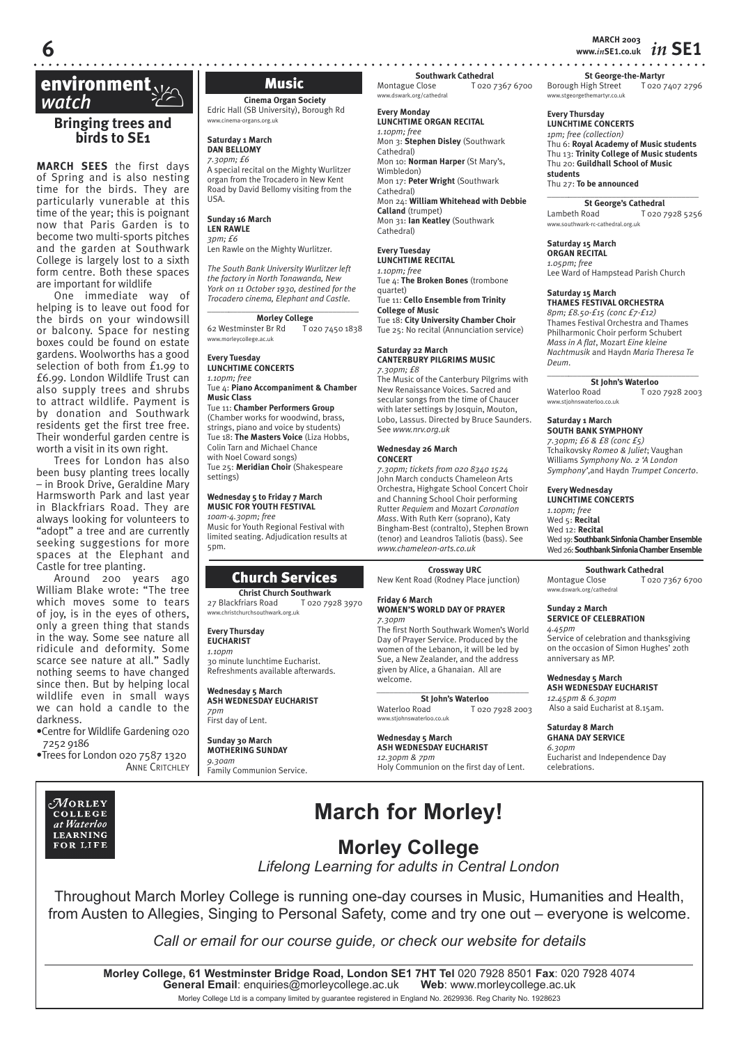**MARCH 2003 6 www.***in***SE1.co.uk** *in* **SE1**

**St George-the-Martyr** Borough High Street T 020 7407 2796

## **environment**<br> *watch*<br>
■ Principal measure

#### **Bringing trees and birds to SE1**

**MARCH SEES** the first days of Spring and is also nesting time for the birds. They are particularly vunerable at this time of the year; this is poignant now that Paris Garden is to become two multi-sports pitches and the garden at Southwark College is largely lost to a sixth form centre. Both these spaces are important for wildlife

One immediate way of helping is to leave out food for the birds on your windowsill or balcony. Space for nesting boxes could be found on estate gardens. Woolworths has a good selection of both from £1.99 to £6.99. London Wildlife Trust can also supply trees and shrubs to attract wildlife. Payment is by donation and Southwark residents get the first tree free. Their wonderful garden centre is worth a visit in its own right.

Trees for London has also been busy planting trees locally – in Brook Drive, Geraldine Mary Harmsworth Park and last year in Blackfriars Road. They are always looking for volunteers to "adopt" a tree and are currently seeking suggestions for more spaces at the Elephant and Castle for tree planting.

Around 200 years ago William Blake wrote: "The tree which moves some to tears of joy, is in the eyes of others, only a green thing that stands in the way. Some see nature all ridicule and deformity. Some scarce see nature at all." Sadly nothing seems to have changed since then. But by helping local wildlife even in small ways we can hold a candle to the darkness.

•Centre for Wildlife Gardening 020 7252 9186

•Trees for London 020 7587 1320 **ANNE CRITCHLEY** 

#### $\mathcal M$ orley COLLEGE at Waterloo **LEARNING** FOR LIFE

**Cinema Organ Society** Edric Hall (SB University), Borough Rd www.cinema-organs.org.uk

**Saturday 1 March DAN BELLOMY**

*7.30pm; £6* A special recital on the Mighty Wurlitzer organ from the Trocadero in New Kent Road by David Bellomy visiting from the USA.

#### **Sunday 16 March**

#### **LEN RAWLE** *3pm; £6*

Len Rawle on the Mighty Wurlitzer.

*The South Bank University Wurlitzer left the factory in North Tonawanda, New York on 11 October 1930, destined for the Trocadero cinema, Elephant and Castle.*

## \_\_\_\_\_*\_\_\_\_\_\_\_\_\_\_\_\_\_\_\_\_\_\_\_\_\_\_\_\_\_\_\_\_\_\_*

**Morley College**<br>62 Westminster Br Rd To T 020 7450 1838 www.morleycollege.ac.uk

**Every Tuesday LUNCHTIME CONCERTS** *1.10pm; free*

Tue 4: **Piano Accompaniment & Chamber Music Class**

Tue 11: **Chamber Performers Group** (Chamber works for woodwind, brass, strings, piano and voice by students) Tue 18: **The Masters Voice** (Liza Hobbs, Colin Tarn and Michael Chance with Noel Coward songs) Tue 25: **Meridian Choir** (Shakespeare settings)

**Wednesday 5 to Friday 7 March**

#### **MUSIC FOR YOUTH FESTIVAL** *10am-4.30pm; free* Music for Youth Regional Festival with limited seating. Adjudication results at 5pm.

## Church Services

**Christ Church Southwark**<br>27 Blackfriars Road T 020 79 T 020 7928 3970 w.christchurchsouthwark.org.uk

#### **Every Thursday EUCHARIST**

*1.10pm* 30 minute lunchtime Eucharist. Refreshments available afterwards.

#### **Wednesday 5 March ASH WEDNESDAY EUCHARIST**

*7pm* First day of Lent.

#### **Sunday 30 March MOTHERING SUNDAY** *9.30am* Family Communion Service.

**Southwark Cathedral**<br>
Montague Close T 0207 T 020 7367 6700

#### **Every Monday**

**LUNCHTIME ORGAN RECITAL** *1.10pm; free* Mon 3: **Stephen Disley** (Southwark Cathedral) Mon 10: **Norman Harper** (St Mary's, Wimbledon) Mon 17: **Peter Wright** (Southwark Cathedral) Mon 24: **William Whitehead with Debbie Calland** (trumpet) Mon 31: **Ian Keatley** (Southwark Cathedral)

### **Every Tuesday**

**LUNCHTIME RECITAL** *1.10pm; free* Tue 4: **The Broken Bones** (trombone quartet) Tue 11: **Cello Ensemble from Trinity College of Music** Tue 18: **City University Chamber Choir** Tue 25: No recital (Annunciation service)

#### **Saturday 22 March CANTERBURY PILGRIMS MUSIC** *7.30pm; £8*

The Music of the Canterbury Pilgrims with New Renaissance Voices. Sacred and secular songs from the time of Chaucer with later settings by Josquin, Mouton, Lobo, Lassus. Directed by Bruce Saunders. See *www.nrv.org.uk*

#### **Wednesday 26 March CONCERT**

*7.30pm; tickets from 020 8340 1524* John March conducts Chameleon Arts Orchestra, Highgate School Concert Choir and Channing School Choir performing Rutter *Requiem* and Mozart *Coronation Mass*. With Ruth Kerr (soprano), Katy Bingham-Best (contralto), Stephen Brown (tenor) and Leandros Taliotis (bass). See *www.chameleon-arts.co.uk*

#### **Crossway URC** New Kent Road (Rodney Place junction)

#### **Friday 6 March WOMEN'S WORLD DAY OF PRAYER**

*7.30pm* The first North Southwark Women's World Day of Prayer Service. Produced by the women of the Lebanon, it will be led by Sue, a New Zealander, and the address given by Alice, a Ghanaian. All are welcome.

#### *\_\_\_\_\_\_\_\_\_\_\_\_\_\_\_\_\_\_\_\_\_\_\_\_\_\_\_\_\_\_\_\_\_\_\_*  **St John's Waterloo**<br>Waterloo Road To2c

T 020 7928 2003 www.stjohnswaterloo.co.uk

#### **Wednesday 5 March ASH WEDNESDAY EUCHARIST**

*12.30pm & 7pm* Holy Communion on the first day of Lent.

Thu 6: **Royal Academy of Music students** Thu 13: **Trinity College of Music students** Thu 20: **Guildhall School of Music students**

Thu 27: **To be announced**

www.stgeorgethemartyr.co.uk **Every Thursday LUNCHTIME CONCERTS** *1pm; free (collection)*

\_\_\_\_\_*\_\_\_\_\_\_\_\_\_\_\_\_\_\_\_\_\_\_\_\_\_\_\_\_\_\_\_\_\_\_* **St George's Cathedral**<br>
Lambeth Road<br> **CO2022** T 020 7928 5256 www.southwark-rc-cathedral.org.uk

#### **Saturday 15 March ORGAN RECITAL**

*1.05pm; free* Lee Ward of Hampstead Parish Church

#### **Saturday 15 March THAMES FESTIVAL ORCHESTRA**

*8pm; £8.50-£15 (conc £7-£12)* Thames Festival Orchestra and Thames Philharmonic Choir perform Schubert *Mass in A flat*, Mozart *Eine kleine Nachtmusik* and Haydn *Maria Theresa Te Deum*.

#### \_\_\_\_\_*\_\_\_\_\_\_\_\_\_\_\_\_\_\_\_\_\_\_\_\_\_\_\_\_\_\_\_\_\_\_* **St John's Waterloo**<br>
Waterloo Road<br>
T 020 T 020 7928 2003 www.stjohnswaterloo.co.uk

**Saturday 1 March SOUTH BANK SYMPHONY** *7.30pm; £6 & £8 (conc £5)* Tchaikovsky *Romeo & Juliet*; Vaughan Williams *Symphony No. 2 'A London* 

*Symphony'*,and Haydn *Trumpet Concerto*.

## **Every Wednesday**

**LUNCHTIME CONCERTS** *1.10pm; free* Wed 5: **Recital** Wed 12: **Recital** Wed 19: **Southbank Sinfonia Chamber Ensemble** Wed 26: **Southbank Sinfonia Chamber Ensemble**

**Southwark Cathedral**<br>7020 T 020 7367 6700 www.dswark.org/cathedral

#### **Sunday 2 March SERVICE OF CELEBRATION**

*4.45pm* Service of celebration and thanksgiving on the occasion of Simon Hughes' 20th anniversary as MP.

#### **Wednesday 5 March ASH WEDNESDAY EUCHARIST**

*12.45pm & 6.30pm* Also a said Eucharist at 8.15am.

#### **Saturday 8 March GHANA DAY SERVICE**

*6.30pm* Eucharist and Independence Day celebrations.

## **March for Morley!**

## **Morley College**

*Lifelong Learning for adults in Central London*

Throughout March Morley College is running one-day courses in Music, Humanities and Health, from Austen to Allegies, Singing to Personal Safety, come and try one out – everyone is welcome.

*Call or email for our course guide, or check our website for details*

**Morley College, 61 Westminster Bridge Road, London SE1 7HT Tel** 020 7928 8501 **Fax**: 020 7928 4074 **General Email: enquiries@morleycollege.ac.uk** Morley College Ltd is a company limited by guarantee registered in England No. 2629936. Reg Charity No. 1928623

#### Music

www.dswark.org/cathedral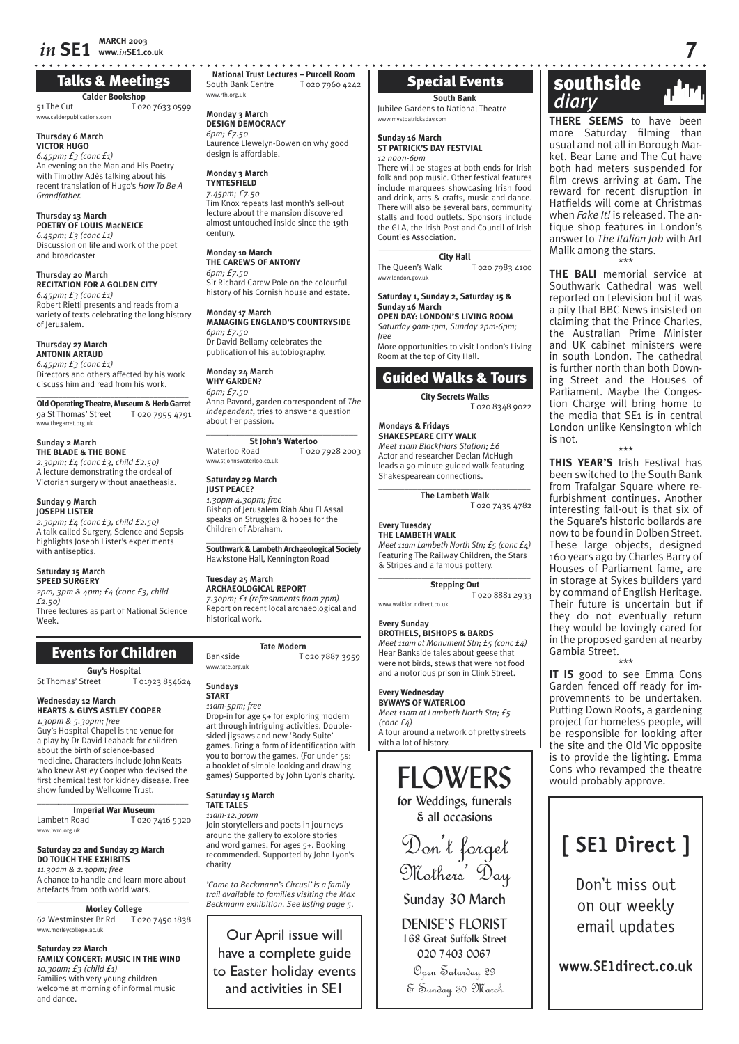### *in* **SE1 MARCH 2003 www.***in***SE1.co.uk 7**

## Talks & Meetings

**Calder Bookshop**

51 The Cut T 020 7633 0599 www.calderpublications.com

#### **Thursday 6 March VICTOR HUGO**

*6.45pm; £3 (conc £1)* An evening on the Man and His Poetry with Timothy Adès talking about his recent translation of Hugo's *How To Be A Grandfather.*

#### **Thursday 13 March POETRY OF LOUIS MacNEICE** *6.45pm; £3 (conc £1)*

Discussion on life and work of the poet and broadcaster

#### **Thursday 20 March RECITATION FOR A GOLDEN CITY** *6.45pm; £3 (conc £1)* Robert Rietti presents and reads from a variety of texts celebrating the long history

of Jerusalem. **Thursday 27 March ANTONIN ARTAUD**

*6.45pm; £3 (conc £1)* Directors and others affected by his work discuss him and read from his work.

\_\_\_\_\_\_\_\_\_\_\_\_\_\_\_\_\_\_\_\_\_\_\_\_\_\_\_\_\_\_\_\_\_\_\_ **Old Operating Theatre, Museum & Herb Garret** 9a St Thomas' Street T 020 7955 4791 www.thegarret.org.uk

#### **Sunday 2 March THE BLADE & THE BONE**

*2.30pm; £4 (conc £3, child £2.50)* A lecture demonstrating the ordeal of Victorian surgery without anaetheasia.

#### **Sunday 9 March**

**JOSEPH LISTER**  *2.30pm; £4 (conc £3, child £2.50)* A talk called Surgery, Science and Sepsis highlights Joseph Lister's experiments with antiseptics.

#### **Saturday 15 March SPEED SURGERY**

*2pm, 3pm & 4pm; £4 (conc £3, child £2.50)* Three lectures as part of National Science Week.

## Events for Children

**Guy's Hospital** St Thomas' Street T 01923 854624

#### **Wednesday 12 March HEARTS & GUYS ASTLEY COOPER**

*1.30pm & 5.30pm; free* Guy's Hospital Chapel is the venue for a play by Dr David Leaback for children about the birth of science-based medicine. Characters include John Keats who knew Astley Cooper who devised the first chemical test for kidney disease. Free show funded by Wellcome Trust.

\_\_\_\_\_*\_\_\_\_\_\_\_\_\_\_\_\_\_\_\_\_\_\_\_\_\_\_\_\_\_\_\_\_\_\_* **Imperial War Museum**<br>**I** ambeth Road **I** 020 T 020 7416 5320 www.iwm.org.uk

#### **Saturday 22 and Sunday 23 March DO TOUCH THE EXHIBITS**

*11.30am & 2.30pm; free* A chance to handle and learn more about artefacts from both world wars.

## \_\_\_\_\_\_\_\_\_\_\_\_\_\_\_\_\_\_\_\_\_\_\_\_\_\_\_\_\_\_\_\_\_\_\_

**Morley College**<br>ter Br Rd T 020 7450 1838 62 Westminster Br Rd www.morleycollege.ac.uk

#### **Saturday 22 March**

**FAMILY CONCERT: MUSIC IN THE WIND** *10.30am; £3 (child £1)* Families with very young children welcome at morning of informal music and dance.

**National Trust Lectures – Purcell Room**<br>South Bank Centre T 020 7960 4242 T 020 7960 4242 www.rfh.org.uk

#### **Monday 3 March DESIGN DEMOCRACY**

*6pm; £7.50* Laurence Llewelyn-Bowen on why good design is affordable.

**Monday 3 March TYNTESFIELD** *7.45pm; £7.50* Tim Knox repeats last month's sell-out lecture about the mansion discovered almost untouched inside since the 19th century.

#### **Monday 10 March THE CAREWS OF ANTONY** *6pm; £7.50*

Sir Richard Carew Pole on the colourful history of his Cornish house and estate.

**Monday 17 March MANAGING ENGLAND'S COUNTRYSIDE** *6pm; £7.50* Dr David Bellamy celebrates the publication of his autobiography.

#### **Monday 24 March WHY GARDEN?**

*6pm; £7.50* Anna Pavord, garden correspondent of *The Independent*, tries to answer a question about her passion.

#### \_\_\_\_\_*\_\_\_\_\_\_\_\_\_\_\_\_\_\_\_\_\_\_\_\_\_\_\_\_\_\_\_\_\_\_* **St John's Waterloo**

Waterloo Road T 020 7928 2003 www.stjohnswaterloo.co.uk

#### **Saturday 29 March JUST PEACE?**

*1.30pm-4.30pm; free*  Bishop of Jerusalem Riah Abu El Assal speaks on Struggles & hopes for the Children of Abraham.

**Southwark & Lambeth Archaeological Society**  Hawkstone Hall, Kennington Road

#### **Tuesday 25 March**

**ARCHAEOLOGICAL REPORT** *7.30pm; £1 (refreshments from 7pm)* Report on recent local archaeological and historical work.

#### **Tate Modern**

Bankside T 020 7887 3959

#### **Sundays START**

www.tate.org.uk

#### *11am-5pm; free*

Drop-in for age 5+ for exploring modern art through intriguing activities. Doublesided jigsaws and new 'Body Suite' games. Bring a form of identification with you to borrow the games. (For under 5s: a booklet of simple looking and drawing games) Supported by John Lyon's charity.

## **Saturday 15 March**

#### **TATE TALES**

*11am-12.30pm* Join storytellers and poets in journeys around the gallery to explore stories and word games. For ages 5+. Booking recommended. Supported by John Lyon's charity

*'Come to Beckmann's Circus!' is a family trail available to families visiting the Max Beckmann exhibition. See listing page 5.*

Our April issue will have a complete guide to Easter holiday events and activities in SE1

## Special Events

### **South Bank**

Jubilee Gardens to National Theatre www.mystpatricksday.com

#### **Sunday 16 March ST PATRICK'S DAY FESTVIAL** *12 noon-6pm*

There will be stages at both ends for Irish folk and pop music. Other festival features include marquees showcasing Irish food and drink, arts & crafts, music and dance. There will also be several bars, community stalls and food outlets. Sponsors include the GLA, the Irish Post and Council of Irish Counties Association.

**\_\_\_\_\_\_\_\_\_\_\_\_\_\_\_\_\_\_\_\_\_\_\_\_\_\_\_\_\_\_\_\_\_\_\_ City Hall**

The Queen's Walk T 020 7983 4100 www.london.gov.uk

#### **Saturday 1, Sunday 2, Saturday 15 & Sunday 16 March**

**OPEN DAY: LONDON'S LIVING ROOM** *Saturday 9am-1pm, Sunday 2pm-6pm;* 

*free* More opportunities to visit London's Living Room at the top of City Hall.

## Guided Walks & Tours

**City Secrets Walks** T 020 8348 9022

#### **Mondays & Fridays SHAKESPEARE CITY WALK**

*Meet 11am Blackfriars Station; £6* Actor and researcher Declan McHugh leads a 90 minute guided walk featuring Shakespearean connections.

 $\overline{\phantom{a}}$  , and the set of the set of the set of the set of the set of the set of the set of the set of the set of the set of the set of the set of the set of the set of the set of the set of the set of the set of the s **The Lambeth Walk**

T 020 7435 4782

#### **Every Tuesday THE LAMBETH WALK**

*Meet 11am Lambeth North Stn; £5 (conc £4)* Featuring The Railway Children, the Stars & Stripes and a famous pottery.

#### $\overline{\phantom{a}}$  , and the set of the set of the set of the set of the set of the set of the set of the set of the set of the set of the set of the set of the set of the set of the set of the set of the set of the set of the s **Stepping Out**

T 020 8881 2933

## www.walklon.ndirect.co.uk

**Every Sunday**

**BROTHELS, BISHOPS & BARDS** *Meet 11am at Monument Stn; £5 (conc £4)* Hear Bankside tales about geese that were not birds, stews that were not food and a notorious prison in Clink Street.

#### **Every Wednesday BYWAYS OF WATERLOO**

*Meet 11am at Lambeth North Stn; £5 (conc £4)* A tour around a network of pretty streets with a lot of history.

> FLOWERS for Weddings, funerals & all occasions

Don't forget Mothers' Day

Sunday 30 March

DENISE'S FLORIST 168 Great Suffolk Street 020 7403 0067

Open Saturday 29 & Sunday 30 March

## southside  *diary* c

**THERE SEEMS** to have been more Saturday filming than usual and not all in Borough Market. Bear Lane and The Cut have both had meters suspended for film crews arriving at 6am. The reward for recent disruption in Hatfields will come at Christmas when *Fake It!* is released. The antique shop features in London's answer to *The Italian Job* with Art Malik among the stars. \*\*\*

**THE BALI** memorial service at Southwark Cathedral was well reported on television but it was a pity that BBC News insisted on claiming that the Prince Charles, the Australian Prime Minister and UK cabinet ministers were in south London. The cathedral is further north than both Downing Street and the Houses of Parliament. Maybe the Congestion Charge will bring home to the media that SE1 is in central London unlike Kensington which is not.

#### \*\*\*

**THIS YEAR'S** Irish Festival has been switched to the South Bank from Trafalgar Square where refurbishment continues. Another interesting fall-out is that six of the Square's historic bollards are now to be found in Dolben Street. These large objects, designed 160 years ago by Charles Barry of Houses of Parliament fame, are in storage at Sykes builders yard by command of English Heritage. Their future is uncertain but if they do not eventually return they would be lovingly cared for in the proposed garden at nearby Gambia Street.

\*\*\* **IT IS** good to see Emma Cons Garden fenced off ready for improvemnents to be undertaken. Putting Down Roots, a gardening project for homeless people, will be responsible for looking after the site and the Old Vic opposite is to provide the lighting. Emma Cons who revamped the theatre would probably approve.



Don't miss out on our weekly email updates

**www.SE1direct.co.uk**